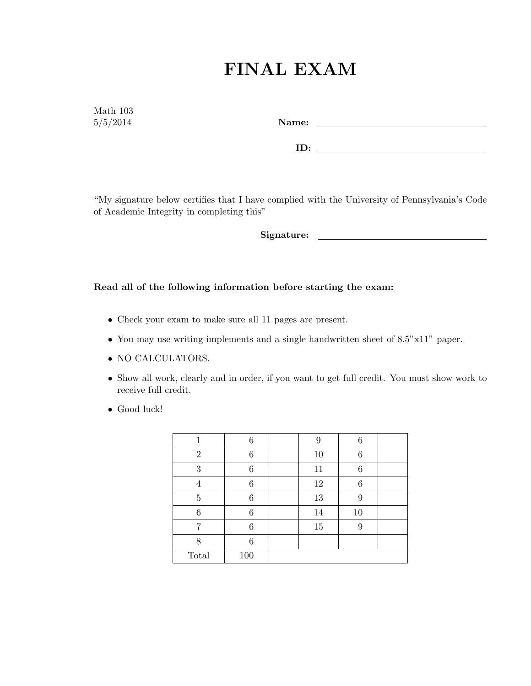## FINAL EXAM

Math 103

5/5/2014 Name:

ID:

"My signature below certifies that I have complied with the University of Pennsylvania's Code of Academic Integrity in completing this"

Signature:

## Read all of the following information before starting the exam:

- Check your exam to make sure all 11 pages are present.
- You may use writing implements and a single handwritten sheet of 8.5"x11" paper.
- NO CALCULATORS.
- Show all work, clearly and in order, if you want to get full credit. You must show work to receive full credit.
- Good luck!

|                | 6   | 9  | 6  |  |
|----------------|-----|----|----|--|
| $\overline{2}$ | 6   | 10 | 6  |  |
| 3              | 6   | 11 | 6  |  |
|                | 6   | 12 | 6  |  |
| $\overline{5}$ | 6   | 13 | 9  |  |
| 6              | 6   | 14 | 10 |  |
|                | 6   | 15 | 9  |  |
| 8              | 6   |    |    |  |
| Total          | 100 |    |    |  |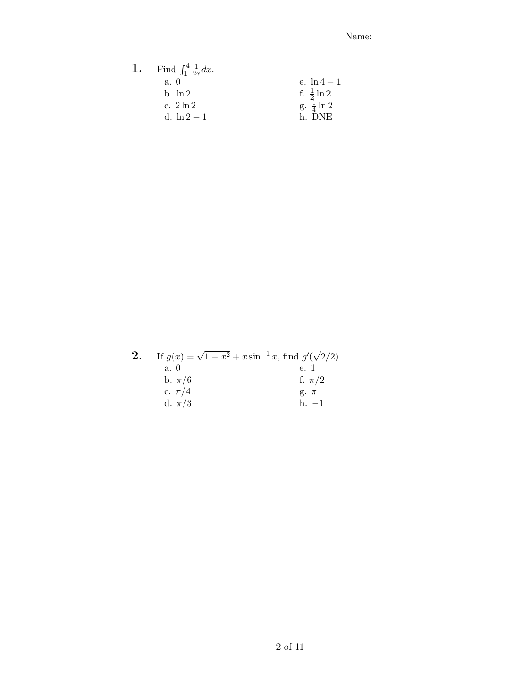÷

|  | <b>1.</b> Find $\int_{1}^{4} \frac{1}{2x} dx$ . |                                                  |
|--|-------------------------------------------------|--------------------------------------------------|
|  | a. 0                                            | e. $\ln 4 - 1$                                   |
|  | $h \cdot \ln 2$                                 |                                                  |
|  | c. $2 \ln 2$                                    | f. $\frac{1}{2} \ln 2$<br>g. $\frac{1}{4} \ln 2$ |
|  | d. $\ln 2 - 1$                                  | h DNE                                            |

|  |            | If $g(x) = \sqrt{1-x^2} + x \sin^{-1} x$ , find $g'(\sqrt{2}/2)$ . |
|--|------------|--------------------------------------------------------------------|
|  | a. 0       | e. 1                                                               |
|  | b. $\pi/6$ | f. $\pi/2$                                                         |
|  | c. $\pi/4$ | $g. \pi$                                                           |
|  | d. $\pi/3$ | $h = 1$                                                            |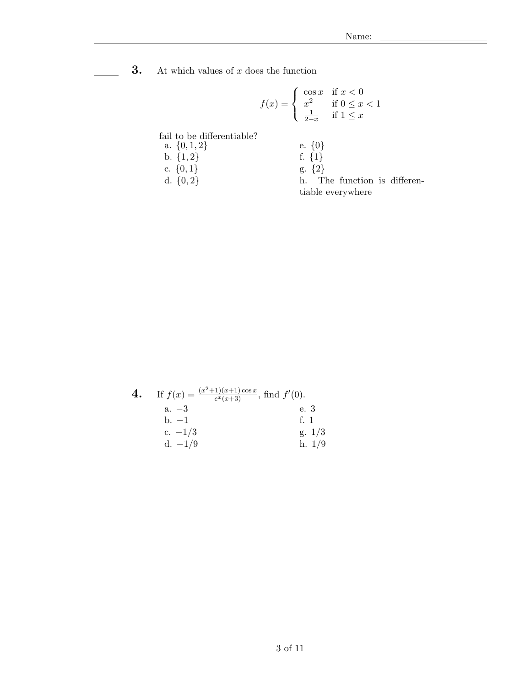**3.** At which values of  $x$  does the function

$$
f(x) = \begin{cases} \cos x & \text{if } x < 0\\ x^2 & \text{if } 0 \le x < 1\\ \frac{1}{2-x} & \text{if } 1 \le x \end{cases}
$$

fail to be differentiable?

a.  $\{0, 1, 2\}$  e.  $\{0\}$ b.  $\{1, 2\}$ <br>c.  $\{0, 1\}$ <br>f.  $\{1\}$ <br>g.  $\{2\}$ c.  $\{0, 1\}$ d.  ${0, 2}$  h. The function is differentiable everywhere

| 4. | If $f(x) = \frac{(x^2+1)(x+1)\cos x}{e^x(x+3)}$ , find $f'(0)$ . |              |
|----|------------------------------------------------------------------|--------------|
|    | $a. -3$                                                          | e. 3         |
|    | $h. -1$                                                          | f. 1         |
|    | c. $-1/3$                                                        | $\rm g.~1/3$ |
|    | $d. -1/9$                                                        | h. 1/9       |
|    |                                                                  |              |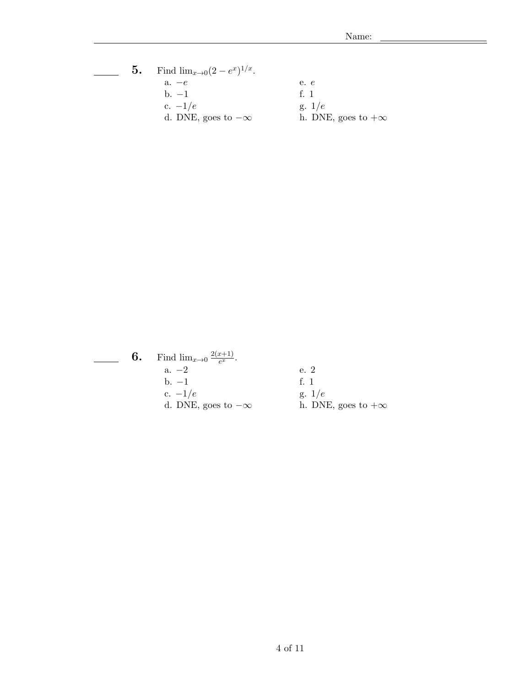## **5.** Find  $\lim_{x\to 0} (2-e^x)^{1/x}$ .  $\overline{\phantom{a}}$ a.  $-e$  e. e. b.  $-1$  f. 1 c.  $-1/e$  g.  $1/e$ d. DNE, goes to  $-\infty$  h. DNE, goes to  $+\infty$

| 6. | Find $\lim_{x\to 0} \frac{2(x+1)}{e^x}$ . |                           |
|----|-------------------------------------------|---------------------------|
|    | $a. -2$                                   | e. 2                      |
|    | $\rm b. -1$                               | f <sub>1</sub>            |
|    | c. $-1/e$                                 | g. $1/e$                  |
|    | d. DNE, goes to $-\infty$                 | h. DNE, goes to $+\infty$ |
|    |                                           |                           |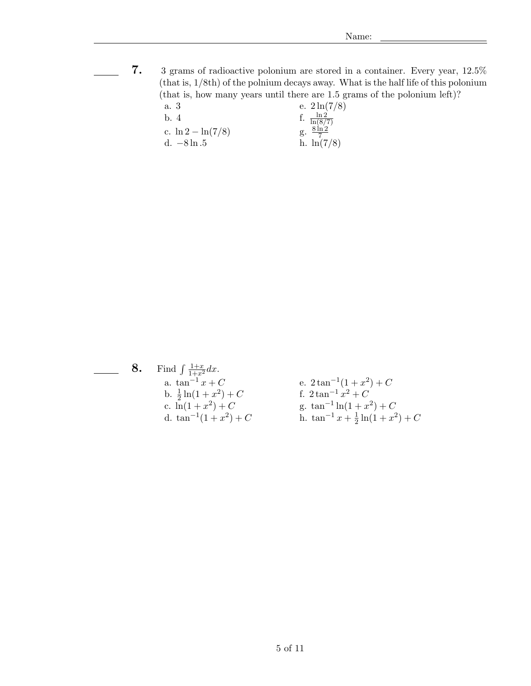7. 3 grams of radioactive polonium are stored in a container. Every year, 12.5% (that is, 1/8th) of the polnium decays away. What is the half life of this polonium (that is, how many years until there are 1.5 grams of the polonium left)? a. 3 e.  $2 \ln(7/8)$ 

| b. 4 |                       | f. $\frac{\ln 2}{\ln(8/7)}$<br>g. $\frac{8 \ln 2}{7}$ |
|------|-----------------------|-------------------------------------------------------|
|      | c. $\ln 2 - \ln(7/8)$ |                                                       |
|      | d. –8 ln .5           | h. $\ln(7/8)$                                         |

**8.** Find  $\int \frac{1+x}{1+x^2} dx$ . a.  $\tan^{-1} x + C$  e.  $2 \tan^{-1} x$  $(1+x^2)+C$ b.  $\frac{1}{2} \ln(1 + x^2)$  $+ C$  f.  $2 tan^{-1} x^2 + C$ c.  $\ln(1+x^2) + C$  g.  $\tan^{-1}$  $\ln(1+x^2) + C$ d.  $\tan^{-1}(1+x^2)$ ) + C h. tan<sup>-1</sup> x +  $\frac{1}{2}$  $\frac{1}{2}\ln(1+x^2)+C$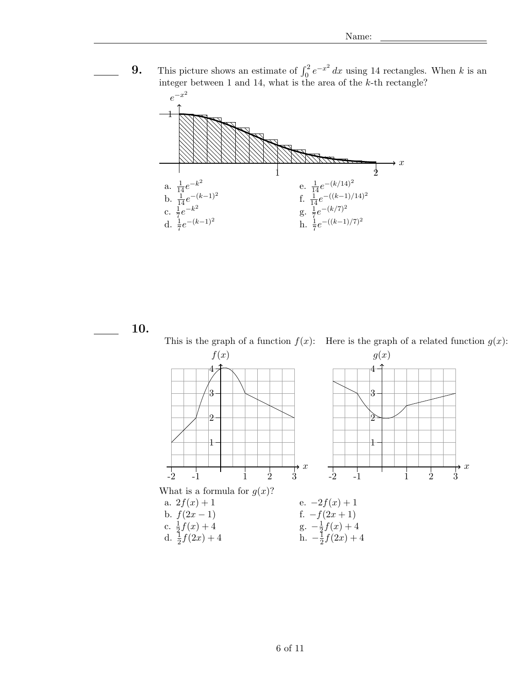**9.** This picture shows an estimate of  $\int_0^2 e^{-x^2} dx$  using 14 rectangles. When k is an integer between 1 and 14, what is the area of the k-th rectangle?



10.

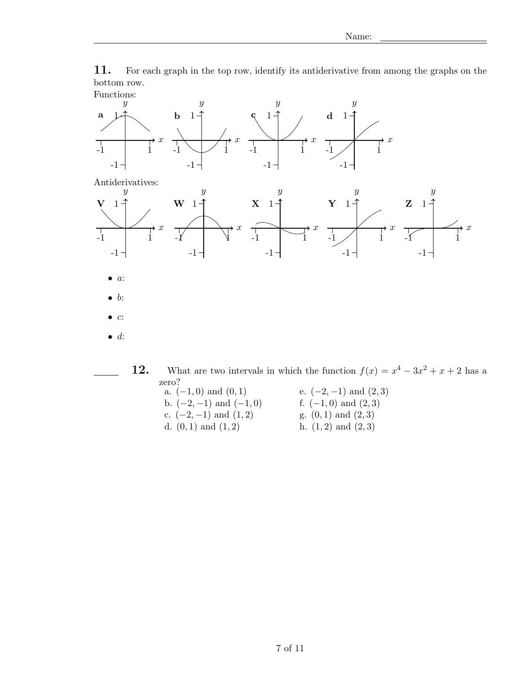11. For each graph in the top row, identify its antiderivative from among the graphs on the bottom row.



zero?<br>a.  $(-1,0)$  and  $(0,1)$ e.  $(-2, -1)$  and  $(2, 3)$ b.  $(-2, -1)$  and  $(-1, 0)$  f.  $(-1, 0)$  and  $(2, 3)$ c.  $(-2, -1)$  and  $(1, 2)$  g.  $(0, 1)$  and  $(2, 3)$ d.  $(0, 1)$  and  $(1, 2)$  h.  $(1, 2)$  and  $(2, 3)$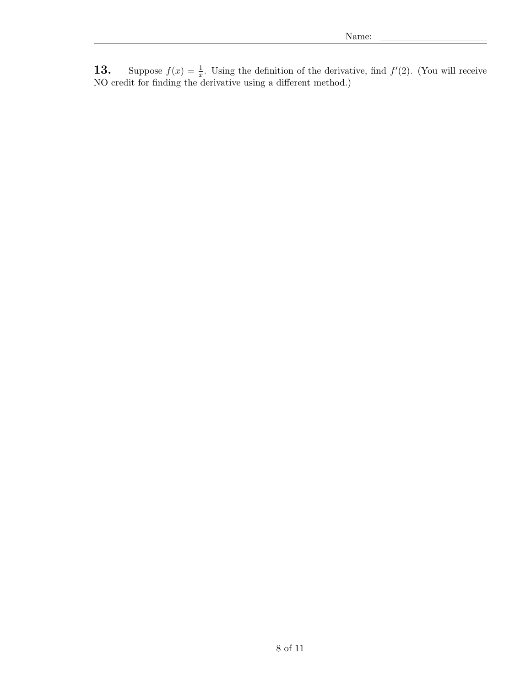**13.** Suppose  $f(x) = \frac{1}{x}$ . Using the definition of the derivative, find  $f'(2)$ . (You will receive NO credit for finding the derivative using a different method.)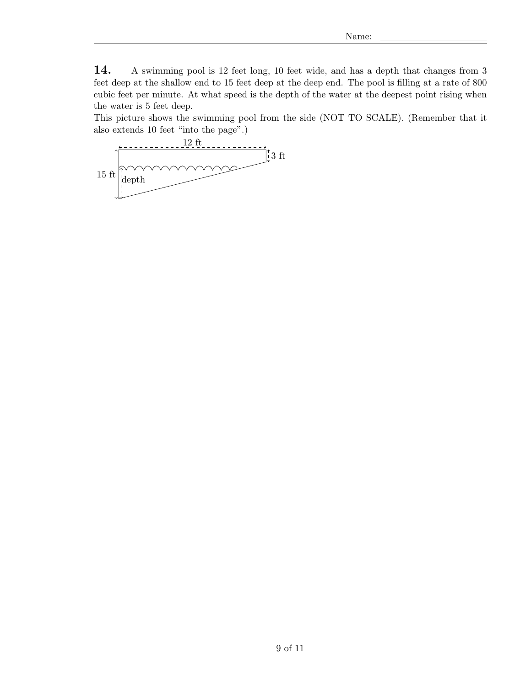14. A swimming pool is 12 feet long, 10 feet wide, and has a depth that changes from 3 feet deep at the shallow end to 15 feet deep at the deep end. The pool is filling at a rate of 800 cubic feet per minute. At what speed is the depth of the water at the deepest point rising when the water is 5 feet deep.

This picture shows the swimming pool from the side (NOT TO SCALE). (Remember that it also extends 10 feet "into the page".)

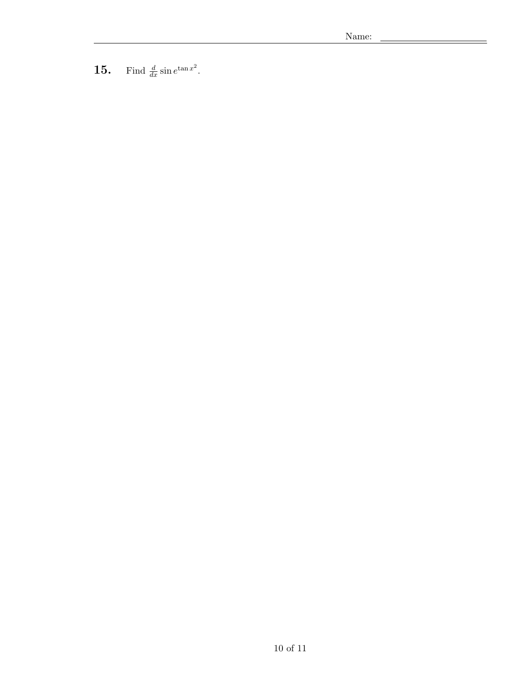Find  $\frac{d}{dx}$  sin  $e^{\tan x^2}$ .  $15.$